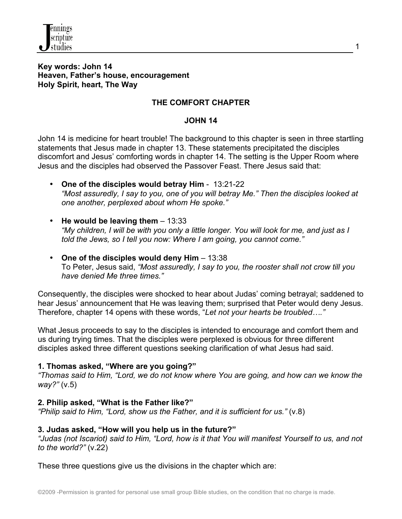

#### **Key words: John 14 Heaven, Father's house, encouragement Holy Spirit, heart, The Way**

### **THE COMFORT CHAPTER**

### **JOHN 14**

John 14 is medicine for heart trouble! The background to this chapter is seen in three startling statements that Jesus made in chapter 13. These statements precipitated the disciples discomfort and Jesus' comforting words in chapter 14. The setting is the Upper Room where Jesus and the disciples had observed the Passover Feast. There Jesus said that:

- **One of the disciples would betray Him** 13:21-22 *"Most assuredly, I say to you, one of you will betray Me." Then the disciples looked at one another, perplexed about whom He spoke."*
- **He would be leaving them** 13:33 *"My children, I will be with you only a little longer. You will look for me, and just as I told the Jews, so I tell you now: Where I am going, you cannot come."*
- **One of the disciples would deny Him** 13:38 To Peter, Jesus said, *"Most assuredly, I say to you, the rooster shall not crow till you have denied Me three times."*

Consequently, the disciples were shocked to hear about Judas' coming betrayal; saddened to hear Jesus' announcement that He was leaving them; surprised that Peter would deny Jesus. Therefore, chapter 14 opens with these words, "*Let not your hearts be troubled…."*

What Jesus proceeds to say to the disciples is intended to encourage and comfort them and us during trying times. That the disciples were perplexed is obvious for three different disciples asked three different questions seeking clarification of what Jesus had said.

### **1. Thomas asked, "Where are you going?"**

*"Thomas said to Him, "Lord, we do not know where You are going, and how can we know the way?"* (v.5)

### **2. Philip asked, "What is the Father like?"**

*"Philip said to Him, "Lord, show us the Father, and it is sufficient for us."* (v.8)

### **3. Judas asked, "How will you help us in the future?"**

*"Judas (not Iscariot) said to Him, "Lord, how is it that You will manifest Yourself to us, and not to the world?"* (v.22)

These three questions give us the divisions in the chapter which are: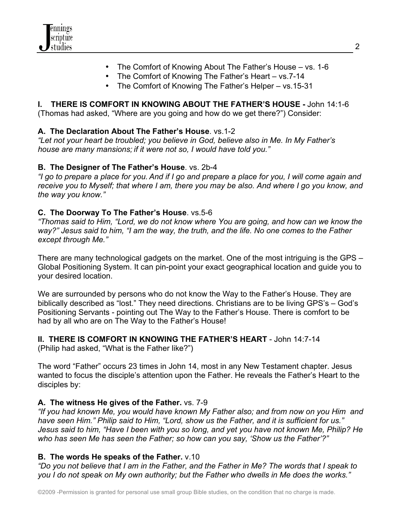

- The Comfort of Knowing About The Father's House vs. 1-6
- The Comfort of Knowing The Father's Heart vs.7-14
- The Comfort of Knowing The Father's Helper vs.15-31

# **I. THERE IS COMFORT IN KNOWING ABOUT THE FATHER'S HOUSE -** John 14:1-6

(Thomas had asked, "Where are you going and how do we get there?") Consider:

# **A. The Declaration About The Father's House**. vs.1-2

*"Let not your heart be troubled; you believe in God, believe also in Me. In My Father's house are many mansions; if it were not so, I would have told you."*

# **B. The Designer of The Father's House**. vs. 2b-4

*"I go to prepare a place for you. And if I go and prepare a place for you, I will come again and receive you to Myself; that where I am, there you may be also. And where I go you know, and the way you know."*

# **C. The Doorway To The Father's House**. vs.5-6

*"Thomas said to Him, "Lord, we do not know where You are going, and how can we know the way?" Jesus said to him, "I am the way, the truth, and the life. No one comes to the Father except through Me."*

There are many technological gadgets on the market. One of the most intriguing is the GPS – Global Positioning System. It can pin-point your exact geographical location and guide you to your desired location.

We are surrounded by persons who do not know the Way to the Father's House. They are biblically described as "lost." They need directions. Christians are to be living GPS's – God's Positioning Servants - pointing out The Way to the Father's House. There is comfort to be had by all who are on The Way to the Father's House!

# **II. THERE IS COMFORT IN KNOWING THE FATHER'S HEART** - John 14:7-14

(Philip had asked, "What is the Father like?")

The word "Father" occurs 23 times in John 14, most in any New Testament chapter. Jesus wanted to focus the disciple's attention upon the Father. He reveals the Father's Heart to the disciples by:

# **A. The witness He gives of the Father.** vs. 7-9

*"If you had known Me, you would have known My Father also; and from now on you Him and have seen Him." Philip said to Him, "Lord, show us the Father, and it is sufficient for us." Jesus said to him, "Have I been with you so long, and yet you have not known Me, Philip? He who has seen Me has seen the Father; so how can you say, 'Show us the Father'?"*

## **B. The words He speaks of the Father.** v.10

*"Do you not believe that I am in the Father, and the Father in Me? The words that I speak to you I do not speak on My own authority; but the Father who dwells in Me does the works."*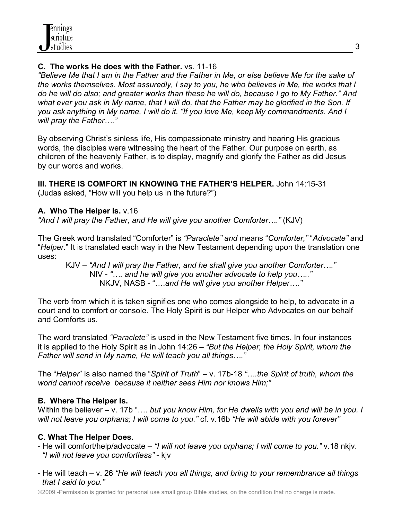## **C. The works He does with the Father.** vs. 11-16

*"Believe Me that I am in the Father and the Father in Me, or else believe Me for the sake of the works themselves. Most assuredly, I say to you, he who believes in Me, the works that I do he will do also; and greater works than these he will do, because I go to My Father." And what ever you ask in My name, that I will do, that the Father may be glorified in the Son. If you ask anything in My name, I will do it. "If you love Me, keep My commandments. And I will pray the Father…."*

By observing Christ's sinless life, His compassionate ministry and hearing His gracious words, the disciples were witnessing the heart of the Father. Our purpose on earth, as children of the heavenly Father, is to display, magnify and glorify the Father as did Jesus by our words and works.

**III. THERE IS COMFORT IN KNOWING THE FATHER'S HELPER.** John 14:15-31 (Judas asked, "How will you help us in the future?")

### **A. Who The Helper Is.** v.16

*"And I will pray the Father, and He will give you another Comforter…."* (KJV)

The Greek word translated "Comforter" is *"Paraclete" and* means "*Comforter,"* "*Advocate"* and "*Helper.*" It is translated each way in the New Testament depending upon the translation one uses:

KJV – *"And I will pray the Father, and he shall give you another Comforter…."* NIV - *"…. and he will give you another advocate to help you….."* NKJV, NASB - "….*and He will give you another Helper…."*

The verb from which it is taken signifies one who comes alongside to help, to advocate in a court and to comfort or console. The Holy Spirit is our Helper who Advocates on our behalf and Comforts us.

The word translated *"Paraclete"* is used in the New Testament five times. In four instances it is applied to the Holy Spirit as in John 14:26 – *"But the Helper, the Holy Spirit, whom the Father will send in My name, He will teach you all things…."* 

The "*Helper*" is also named the "*Spirit of Truth*" – v. 17b-18 *"….the Spirit of truth, whom the world cannot receive because it neither sees Him nor knows Him;"* 

## **B. Where The Helper Is.**

Within the believer – v. 17b ".... *but you know Him, for He dwells with you and will be in you. I will not leave you orphans; I will come to you."* cf. v.16b *"He will abide with you forever"*

## **C. What The Helper Does.**

- He will comfort/help/advocate *"I will not leave you orphans; I will come to you."* v.18 nkjv. *"I will not leave you comfortless"* - kjv
- He will teach v. 26 *"He will teach you all things, and bring to your remembrance all things that I said to you."*

©2009 -Permission is granted for personal use small group Bible studies, on the condition that no charge is made.